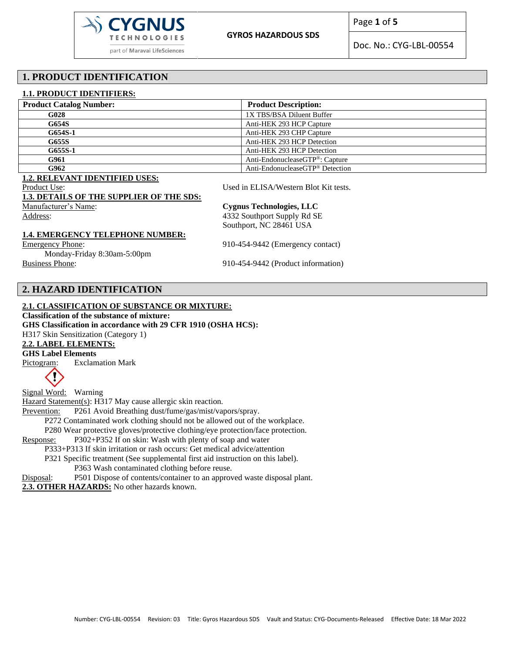

Page **1** of **5**

Doc. No.: CYG-LBL-00554

# **1. PRODUCT IDENTIFICATION**

#### **1.1. PRODUCT IDENTIFIERS:**

| <b>Product Catalog Number:</b> | <b>Product Description:</b>                 |
|--------------------------------|---------------------------------------------|
| G <sub>028</sub>               | 1X TBS/BSA Diluent Buffer                   |
| G654S                          | Anti-HEK 293 HCP Capture                    |
| G654S-1                        | Anti-HEK 293 CHP Capture                    |
| G655S                          | Anti-HEK 293 HCP Detection                  |
| G655S-1                        | Anti-HEK 293 HCP Detection                  |
| G961                           | Anti-EndonucleaseGTP®: Capture              |
| G962                           | Anti-EndonucleaseGTP <sup>®</sup> Detection |

#### **1.2. RELEVANT IDENTIFIED USES:**

Product Use: Used in ELISA/Western Blot Kit tests.

#### **1.3. DETAILS OF THE SUPPLIER OF THE SDS:**

Manufacturer's Name: **Cygnus Technologies, LLC**

Address: 4332 Southport Supply Rd SE Southport, NC 28461 USA

#### **1.4. EMERGENCY TELEPHONE NUMBER:**

Emergency Phone: 910-454-9442 (Emergency contact)

Monday-Friday 8:30am-5:00pm Business Phone: 910-454-9442 (Product information)

# **2. HAZARD IDENTIFICATION**

## **2.1. CLASSIFICATION OF SUBSTANCE OR MIXTURE:**

**Classification of the substance of mixture:**

**GHS Classification in accordance with 29 CFR 1910 (OSHA HCS):**

H317 Skin Sensitization (Category 1)

# **2.2. LABEL ELEMENTS:**

**GHS Label Elements** 

Pictogram: Exclamation Mark



Signal Word: Warning Hazard Statement(s): H317 May cause allergic skin reaction. Prevention: P261 Avoid Breathing dust/fume/gas/mist/vapors/spray. P272 Contaminated work clothing should not be allowed out of the workplace. P280 Wear protective gloves/protective clothing/eye protection/face protection. Response: P302+P352 If on skin: Wash with plenty of soap and water P333+P313 If skin irritation or rash occurs: Get medical advice/attention P321 Specific treatment (See supplemental first aid instruction on this label). P363 Wash contaminated clothing before reuse. Disposal: P501 Dispose of contents/container to an approved waste disposal plant.

**2.3. OTHER HAZARDS:** No other hazards known.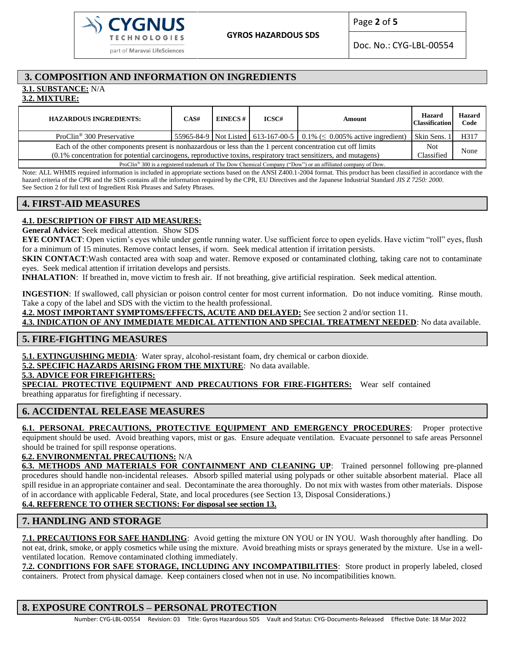

Page **2** of **5**

Doc. No.: CYG-LBL-00554

# **3. COMPOSITION AND INFORMATION ON INGREDIENTS**

**3.1. SUBSTANCE:** N/A

**3.2. MIXTURE:**

| <b>HAZARDOUS INGREDIENTS:</b>                                                                                                                                                                                                   | CAS# | <b>EINECS#</b> | ICSC# | Amount                                                                     | <b>Hazard</b><br><b>Classification</b> | <b>Hazard</b><br>Code |  |
|---------------------------------------------------------------------------------------------------------------------------------------------------------------------------------------------------------------------------------|------|----------------|-------|----------------------------------------------------------------------------|----------------------------------------|-----------------------|--|
| ProClin <sup>®</sup> 300 Preservative                                                                                                                                                                                           |      |                |       | 55965-84-9 Not Listed 613-167-00-5 0.1% ( $\leq$ 0.005% active ingredient) | Skin Sens.                             | H317                  |  |
| Each of the other components present is nonhazardous or less than the 1 percent concentration cut off limits                                                                                                                    |      |                |       |                                                                            |                                        | None                  |  |
| (0.1% concentration for potential carcinogens, reproductive toxins, respiratory tract sensitizers, and mutagens)<br>Classified                                                                                                  |      |                |       |                                                                            |                                        |                       |  |
| $D_{11}$ $O(11, 0.0001)$ + $1.1$ $1.1$ $1.1$ $1.1$ $1.1$ $1.1$ $1.1$ $1.1$ $1.1$ $1.1$ $1.1$ $1.1$ $1.1$ $1.1$ $1.1$ $1.1$ $1.1$ $1.1$ $1.1$ $1.1$ $1.1$ $1.1$ $1.1$ $1.1$ $1.1$ $1.1$ $1.1$ $1.1$ $1.1$ $1.1$ $1.1$ $1.1$ $1.$ |      |                |       |                                                                            |                                        |                       |  |

ProClin® 300 is a registered trademark of The Dow Chemical Company ("Dow") or an affiliated company of Dow.

Note: ALL WHMIS required information is included in appropriate sections based on the ANSI Z400.1-2004 format. This product has been classified in accordance with the hazard criteria of the CPR and the SDS contains all the information required by the CPR, EU Directives and the Japanese Industrial Standard *JIS Z 7250: 2000*. See Section 2 for full text of Ingredient Risk Phrases and Safety Phrases.

# **4. FIRST-AID MEASURES**

## **4.1. DESCRIPTION OF FIRST AID MEASURES:**

**General Advice:** Seek medical attention. Show SDS

**EYE CONTACT:** Open victim's eyes while under gentle running water. Use sufficient force to open eyelids. Have victim "roll" eyes, flush for a minimum of 15 minutes. Remove contact lenses, if worn. Seek medical attention if irritation persists.

**SKIN CONTACT:** Wash contacted area with soap and water. Remove exposed or contaminated clothing, taking care not to contaminate eyes. Seek medical attention if irritation develops and persists.

**INHALATION**: If breathed in, move victim to fresh air. If not breathing, give artificial respiration. Seek medical attention.

**INGESTION**: If swallowed, call physician or poison control center for most current information. Do not induce vomiting. Rinse mouth. Take a copy of the label and SDS with the victim to the health professional.

**4.2. MOST IMPORTANT SYMPTOMS/EFFECTS, ACUTE AND DELAYED:** See section 2 and/or section 11.

**4.3. INDICATION OF ANY IMMEDIATE MEDICAL ATTENTION AND SPECIAL TREATMENT NEEDED**: No data available.

## **5. FIRE-FIGHTING MEASURES**

**5.1. EXTINGUISHING MEDIA**: Water spray, alcohol-resistant foam, dry chemical or carbon dioxide.

**5.2. SPECIFIC HAZARDS ARISING FROM THE MIXTURE**: No data available.

#### **5.3. ADVICE FOR FIREFIGHTERS:**

**SPECIAL PROTECTIVE EQUIPMENT AND PRECAUTIONS FOR FIRE-FIGHTERS:** Wear self contained breathing apparatus for firefighting if necessary.

## **6. ACCIDENTAL RELEASE MEASURES**

**6.1. PERSONAL PRECAUTIONS, PROTECTIVE EQUIPMENT AND EMERGENCY PROCEDURES**: Proper protective equipment should be used. Avoid breathing vapors, mist or gas. Ensure adequate ventilation. Evacuate personnel to safe areas Personnel should be trained for spill response operations.

**6.2. ENVIRONMENTAL PRECAUTIONS:** N/A

**6.3. METHODS AND MATERIALS FOR CONTAINMENT AND CLEANING UP**: Trained personnel following pre-planned procedures should handle non-incidental releases. Absorb spilled material using polypads or other suitable absorbent material. Place all spill residue in an appropriate container and seal. Decontaminate the area thoroughly. Do not mix with wastes from other materials. Dispose of in accordance with applicable Federal, State, and local procedures (see Section 13, Disposal Considerations.)

# **6.4. REFERENCE TO OTHER SECTIONS: For disposal see section 13.**

# **7. HANDLING AND STORAGE**

**7.1. PRECAUTIONS FOR SAFE HANDLING**: Avoid getting the mixture ON YOU or IN YOU. Wash thoroughly after handling. Do not eat, drink, smoke, or apply cosmetics while using the mixture. Avoid breathing mists or sprays generated by the mixture. Use in a wellventilated location. Remove contaminated clothing immediately.

**7.2. CONDITIONS FOR SAFE STORAGE, INCLUDING ANY INCOMPATIBILITIES**: Store product in properly labeled, closed containers. Protect from physical damage. Keep containers closed when not in use. No incompatibilities known.

# **8. EXPOSURE CONTROLS – PERSONAL PROTECTION**

Number: CYG-LBL-00554 Revision: 03 Title: Gyros Hazardous SDS Vault and Status: CYG-Documents-Released Effective Date: 18 Mar 2022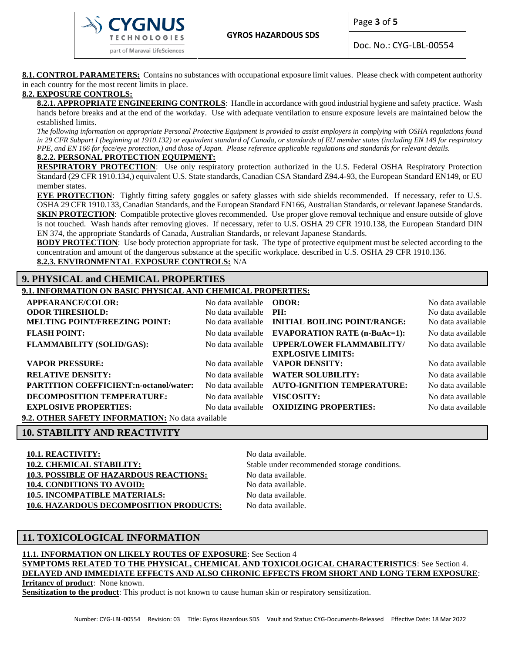part of Maravai LifeSciences

**GYROS HAZARDOUS SDS**

Page **3** of **5**

Doc. No.: CYG-LBL-00554

**8.1. CONTROL PARAMETERS:** Contains no substances with occupational exposure limit values. Please check with competent authority in each country for the most recent limits in place.

#### **8.2. EXPOSURE CONTROLS:**

**8.2.1. APPROPRIATE ENGINEERING CONTROLS**: Handle in accordance with good industrial hygiene and safety practice. Wash hands before breaks and at the end of the workday. Use with adequate ventilation to ensure exposure levels are maintained below the established limits.

*The following information on appropriate Personal Protective Equipment is provided to assist employers in complying with OSHA regulations found in 29 CFR Subpart I (beginning at 1910.132) or equivalent standard of Canada, or standards of EU member states (including EN 149 for respiratory PPE, and EN 166 for face/eye protection,) and those of Japan. Please reference applicable regulations and standards for relevant details.*

#### **8.2.2. PERSONAL PROTECTION EQUIPMENT:**

**RESPIRATORY PROTECTION**: Use only respiratory protection authorized in the U.S. Federal OSHA Respiratory Protection Standard (29 CFR 1910.134,) equivalent U.S. State standards, Canadian CSA Standard Z94.4-93, the European Standard EN149, or EU member states.

**EYE PROTECTION**: Tightly fitting safety goggles or safety glasses with side shields recommended. If necessary, refer to U.S. OSHA 29 CFR 1910.133, Canadian Standards, and the European Standard EN166, Australian Standards, or relevant Japanese Standards. **SKIN PROTECTION**: Compatible protective gloves recommended. Use proper glove removal technique and ensure outside of glove is not touched. Wash hands after removing gloves. If necessary, refer to U.S. OSHA 29 CFR 1910.138, the European Standard DIN EN 374, the appropriate Standards of Canada, Australian Standards, or relevant Japanese Standards.

**BODY PROTECTION:** Use body protection appropriate for task. The type of protective equipment must be selected according to the concentration and amount of the dangerous substance at the specific workplace. described in U.S. OSHA 29 CFR 1910.136. **8.2.3. ENVIRONMENTAL EXPOSURE CONTROLS:** N/A

## **9. PHYSICAL and CHEMICAL PROPERTIES**

**9.1. INFORMATION ON BASIC PHYSICAL AND CHEMICAL PROPERTIES:**

| <b>APPEARANCE/COLOR:</b>                                       | No data available <b>ODOR</b> :              |                                                              | No data available                      |
|----------------------------------------------------------------|----------------------------------------------|--------------------------------------------------------------|----------------------------------------|
| <b>ODOR THRESHOLD:</b><br><b>MELTING POINT/FREEZING POINT:</b> | No data available $PH:$<br>No data available | <b>INITIAL BOILING POINT/RANGE:</b>                          | No data available<br>No data available |
|                                                                |                                              |                                                              |                                        |
| <b>FLASH POINT:</b>                                            | No data available                            | <b>EVAPORATION RATE (n-BuAc=1):</b>                          | No data available                      |
| <b>FLAMMABILITY (SOLID/GAS):</b>                               | No data available                            | <b>UPPER/LOWER FLAMMABILITY/</b><br><b>EXPLOSIVE LIMITS:</b> | No data available                      |
| <b>VAPOR PRESSURE:</b>                                         | No data available                            | <b>VAPOR DENSITY:</b>                                        | No data available                      |
| <b>RELATIVE DENSITY:</b>                                       | No data available                            | <b>WATER SOLUBILITY:</b>                                     | No data available                      |
| <b>PARTITION COEFFICIENT:n-octanol/water:</b>                  | No data available                            | <b>AUTO-IGNITION TEMPERATURE:</b>                            | No data available                      |
| DECOMPOSITION TEMPERATURE:                                     | No data available                            | VISCOSITY:                                                   | No data available                      |
| <b>EXPLOSIVE PROPERTIES:</b>                                   | No data available                            | <b>OXIDIZING PROPERTIES:</b>                                 | No data available                      |
| $\alpha$ a control climatic indicate interval $\alpha$         |                                              |                                                              |                                        |

**9.2. OTHER SAFETY INFORMATION:** No data available

#### **10. STABILITY AND REACTIVITY**

**10.1. REACTIVITY:** No data available. **10.2. CHEMICAL STABILITY:** Stable under recommended storage conditions. **10.3. POSSIBLE OF HAZARDOUS REACTIONS:** No data available. **10.4. CONDITIONS TO AVOID:** No data available. **10.5. INCOMPATIBLE MATERIALS:** No data available. 10.6. HAZARDOUS DECOMPOSITION PRODUCTS: No data available.

# **11. TOXICOLOGICAL INFORMATION**

**11.1. INFORMATION ON LIKELY ROUTES OF EXPOSURE**: See Section 4 **SYMPTOMS RELATED TO THE PHYSICAL, CHEMICAL AND TOXICOLOGICAL CHARACTERISTICS**: See Section 4. **DELAYED AND IMMEDIATE EFFECTS AND ALSO CHRONIC EFFECTS FROM SHORT AND LONG TERM EXPOSURE**: **Irritancy of product**: None known.

**Sensitization to the product**: This product is not known to cause human skin or respiratory sensitization.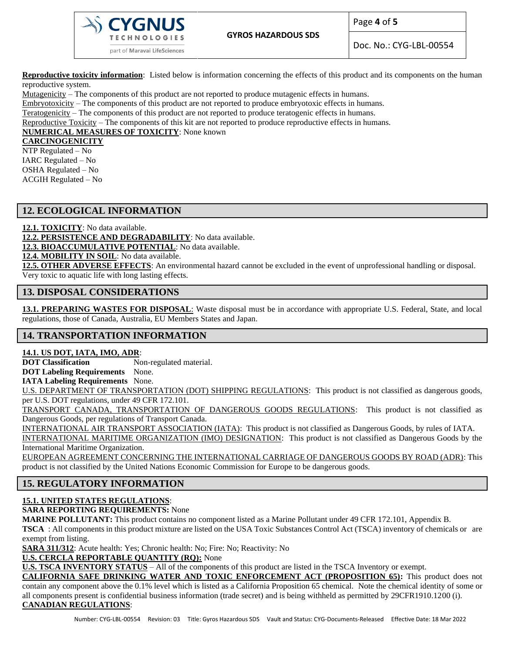

Page **4** of **5**

Doc. No.: CYG-LBL-00554

**Reproductive toxicity information**: Listed below is information concerning the effects of this product and its components on the human reproductive system.

Mutagenicity – The components of this product are not reported to produce mutagenic effects in humans.

Embryotoxicity – The components of this product are not reported to produce embryotoxic effects in humans.

Teratogenicity – The components of this product are not reported to produce teratogenic effects in humans.

Reproductive Toxicity – The components of this kit are not reported to produce reproductive effects in humans.

**NUMERICAL MEASURES OF TOXICITY**: None known

#### **CARCINOGENICITY**

NTP Regulated – No IARC Regulated – No OSHA Regulated – No ACGIH Regulated – No

## **12. ECOLOGICAL INFORMATION**

**12.1. TOXICITY**: No data available.

**12.2. PERSISTENCE AND DEGRADABILITY**: No data available.

**12.3. BIOACCUMULATIVE POTENTIAL**: No data available.

**12.4. MOBILITY IN SOIL**: No data available.

**12.5. OTHER ADVERSE EFFECTS**: An environmental hazard cannot be excluded in the event of unprofessional handling or disposal. Very toxic to aquatic life with long lasting effects.

### **13. DISPOSAL CONSIDERATIONS**

**13.1. PREPARING WASTES FOR DISPOSAL**: Waste disposal must be in accordance with appropriate U.S. Federal, State, and local regulations, those of Canada, Australia, EU Members States and Japan.

## **14. TRANSPORTATION INFORMATION**

### **14.1. US DOT, IATA, IMO, ADR**:

**DOT Classification** Non-regulated material.

**DOT Labeling Requirements** None.

**IATA Labeling Requirements** None.

U.S. DEPARTMENT OF TRANSPORTATION (DOT) SHIPPING REGULATIONS: This product is not classified as dangerous goods, per U.S. DOT regulations, under 49 CFR 172.101.

TRANSPORT CANADA, TRANSPORTATION OF DANGEROUS GOODS REGULATIONS: This product is not classified as Dangerous Goods, per regulations of Transport Canada.

INTERNATIONAL AIR TRANSPORT ASSOCIATION (IATA): This product is not classified as Dangerous Goods, by rules of IATA.

INTERNATIONAL MARITIME ORGANIZATION (IMO) DESIGNATION: This product is not classified as Dangerous Goods by the International Maritime Organization.

EUROPEAN AGREEMENT CONCERNING THE INTERNATIONAL CARRIAGE OF DANGEROUS GOODS BY ROAD (ADR): This product is not classified by the United Nations Economic Commission for Europe to be dangerous goods.

# **15. REGULATORY INFORMATION**

# **15.1. UNITED STATES REGULATIONS**:

**SARA REPORTING REQUIREMENTS:** None

**MARINE POLLUTANT:** This product contains no component listed as a Marine Pollutant under 49 CFR 172.101, Appendix B.

**TSCA** : All components in this product mixture are listed on the USA Toxic Substances Control Act (TSCA) inventory of chemicals or are exempt from listing.

**SARA 311/312**: Acute health: Yes; Chronic health: No; Fire: No; Reactivity: No

**U.S. CERCLA REPORTABLE QUANTITY (RQ):** None

**U.S. TSCA INVENTORY STATUS** – All of the components of this product are listed in the TSCA Inventory or exempt.

**CALIFORNIA SAFE DRINKING WATER AND TOXIC ENFORCEMENT ACT (PROPOSITION 65):** This product does not contain any component above the 0.1% level which is listed as a California Proposition 65 chemical. Note the chemical identity of some or all components present is confidential business information (trade secret) and is being withheld as permitted by 29CFR1910.1200 (i). **CANADIAN REGULATIONS**: